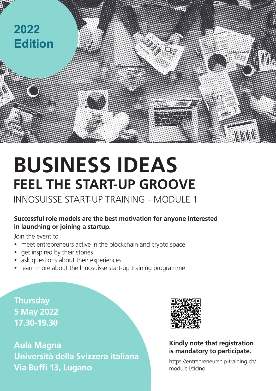

# **BUSINESS IDEAS FEEL THE START-UP GROOVE**

INNOSUISSE START-UP TRAINING - MODULE 1

## **Successful role models are the best motivation for anyone interested in launching or joining a startup.**

Join the event to

- meet entrepreneurs active in the blockchain and crypto space
- get inspired by their stories
- ask questions about their experiences
- learn more about the Innosuisse start-up training programme

**Thursday 5 May 2022 17.30-19.30**

**Aula Magna Università della Svizzera italiana Via Buffi 13, Lugano**



**Kindly note that registration is mandatory to participate.** 

[https://entrepreneurship-training.ch/](https://entrepreneurship-training.ch/module1/ticino) [module1/ticino](https://entrepreneurship-training.ch/module1/ticino)